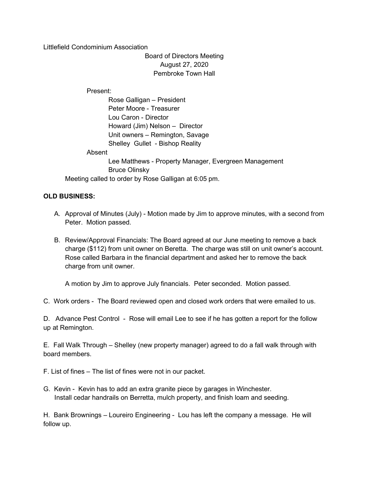Littlefield Condominium Association

Board of Directors Meeting August 27, 2020 Pembroke Town Hall

Present:

 Rose Galligan – President Peter Moore - Treasurer Lou Caron - Director Howard (Jim) Nelson – Director Unit owners – Remington, Savage Shelley Gullet - Bishop Reality

Absent

 Lee Matthews - Property Manager, Evergreen Management Bruce Olinsky Meeting called to order by Rose Galligan at 6:05 pm.

## OLD BUSINESS:

- A. Approval of Minutes (July) Motion made by Jim to approve minutes, with a second from Peter. Motion passed.
- B. Review/Approval Financials: The Board agreed at our June meeting to remove a back charge (\$112) from unit owner on Beretta. The charge was still on unit owner's account. Rose called Barbara in the financial department and asked her to remove the back charge from unit owner.

A motion by Jim to approve July financials. Peter seconded. Motion passed.

C. Work orders - The Board reviewed open and closed work orders that were emailed to us.

D. Advance Pest Control - Rose will email Lee to see if he has gotten a report for the follow up at Remington.

E. Fall Walk Through – Shelley (new property manager) agreed to do a fall walk through with board members.

F. List of fines – The list of fines were not in our packet.

G. Kevin - Kevin has to add an extra granite piece by garages in Winchester. Install cedar handrails on Berretta, mulch property, and finish loam and seeding.

H. Bank Brownings – Loureiro Engineering - Lou has left the company a message. He will follow up.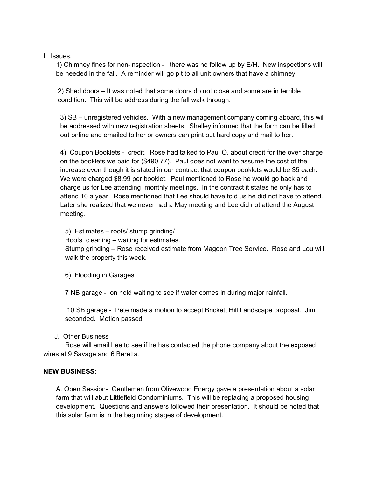I. Issues.

1) Chimney fines for non-inspection - there was no follow up by E/H. New inspections will be needed in the fall. A reminder will go pit to all unit owners that have a chimney.

2) Shed doors – It was noted that some doors do not close and some are in terrible condition. This will be address during the fall walk through.

3) SB – unregistered vehicles. With a new management company coming aboard, this will be addressed with new registration sheets. Shelley informed that the form can be filled out online and emailed to her or owners can print out hard copy and mail to her.

4) Coupon Booklets - credit. Rose had talked to Paul O. about credit for the over charge on the booklets we paid for (\$490.77). Paul does not want to assume the cost of the increase even though it is stated in our contract that coupon booklets would be \$5 each. We were charged \$8.99 per booklet. Paul mentioned to Rose he would go back and charge us for Lee attending monthly meetings. In the contract it states he only has to attend 10 a year. Rose mentioned that Lee should have told us he did not have to attend. Later she realized that we never had a May meeting and Lee did not attend the August meeting.

5) Estimates – roofs/ stump grinding/

Roofs cleaning – waiting for estimates.

Stump grinding – Rose received estimate from Magoon Tree Service. Rose and Lou will walk the property this week.

6) Flooding in Garages

7 NB garage - on hold waiting to see if water comes in during major rainfall.

10 SB garage - Pete made a motion to accept Brickett Hill Landscape proposal. Jim seconded. Motion passed

J. Other Business

 Rose will email Lee to see if he has contacted the phone company about the exposed wires at 9 Savage and 6 Beretta.

## NEW BUSINESS:

A. Open Session- Gentlemen from Olivewood Energy gave a presentation about a solar farm that will abut Littlefield Condominiums. This will be replacing a proposed housing development. Questions and answers followed their presentation. It should be noted that this solar farm is in the beginning stages of development.